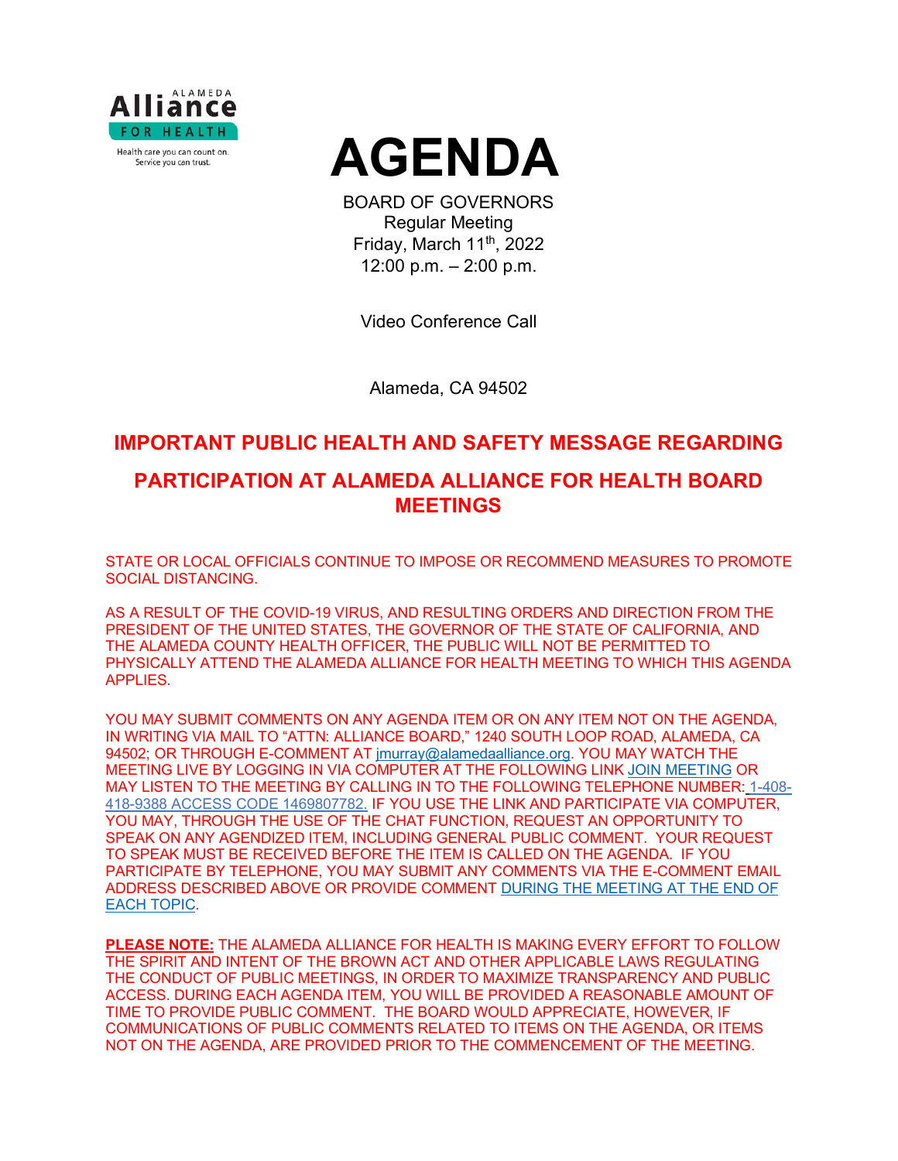



BOARD OF GOVERNORS Regular Meeting Friday, March  $11<sup>th</sup>$ , 2022 12:00 p.m. – 2:00 p.m.

Video Conference Call

Alameda, CA 94502

# **IMPORTANT PUBLIC HEALTH AND SAFETY MESSAGE REGARDING**

# **PARTICIPATION AT ALAMEDA ALLIANCE FOR HEALTH BOARD MEETINGS**

STATE OR LOCAL OFFICIALS CONTINUE TO IMPOSE OR RECOMMEND MEASURES TO PROMOTE SOCIAL DISTANCING.

AS A RESULT OF THE COVID-19 VIRUS, AND RESULTING ORDERS AND DIRECTION FROM THE PRESIDENT OF THE UNITED STATES, THE GOVERNOR OF THE STATE OF CALIFORNIA, AND THE ALAMEDA COUNTY HEALTH OFFICER, THE PUBLIC WILL NOT BE PERMITTED TO PHYSICALLY ATTEND THE ALAMEDA ALLIANCE FOR HEALTH MEETING TO WHICH THIS AGENDA APPLIES.

YOU MAY SUBMIT COMMENTS ON ANY AGENDA ITEM OR ON ANY ITEM NOT ON THE AGENDA, IN WRITING VIA MAIL TO "ATTN: ALLIANCE BOARD," 1240 SOUTH LOOP ROAD, ALAMEDA, CA 94502; OR THROUGH E-COMMENT AT [jmurray@alamedaalliance.org.](mailto:jmurray@alamedaalliance.org) YOU MAY WATCH THE MEETING LIVE BY LOGGING IN VIA COMPUTER AT THE FOLLOWING LINK [JOIN MEETING](https://alamedaalliance.webex.com/alamedaalliance/j.php?MTID=m4fefbe72831c76b47303fd84ed522225) OR MAY LISTEN TO THE MEETING BY CALLING IN TO THE FOLLOWING TELEPHONE NUMBER: 1-408- 418-9388 ACCESS CODE 1469807782. IF YOU USE THE LINK AND PARTICIPATE VIA COMPUTER, YOU MAY, THROUGH THE USE OF THE CHAT FUNCTION, REQUEST AN OPPORTUNITY TO SPEAK ON ANY AGENDIZED ITEM, INCLUDING GENERAL PUBLIC COMMENT. YOUR REQUEST TO SPEAK MUST BE RECEIVED BEFORE THE ITEM IS CALLED ON THE AGENDA. IF YOU PARTICIPATE BY TELEPHONE, YOU MAY SUBMIT ANY COMMENTS VIA THE E-COMMENT EMAIL ADDRESS DESCRIBED ABOVE OR PROVIDE COMMENT DURING THE MEETING AT THE END OF EACH TOPIC.

**PLEASE NOTE:** THE ALAMEDA ALLIANCE FOR HEALTH IS MAKING EVERY EFFORT TO FOLLOW THE SPIRIT AND INTENT OF THE BROWN ACT AND OTHER APPLICABLE LAWS REGULATING THE CONDUCT OF PUBLIC MEETINGS, IN ORDER TO MAXIMIZE TRANSPARENCY AND PUBLIC ACCESS. DURING EACH AGENDA ITEM, YOU WILL BE PROVIDED A REASONABLE AMOUNT OF TIME TO PROVIDE PUBLIC COMMENT. THE BOARD WOULD APPRECIATE, HOWEVER, IF COMMUNICATIONS OF PUBLIC COMMENTS RELATED TO ITEMS ON THE AGENDA, OR ITEMS NOT ON THE AGENDA, ARE PROVIDED PRIOR TO THE COMMENCEMENT OF THE MEETING.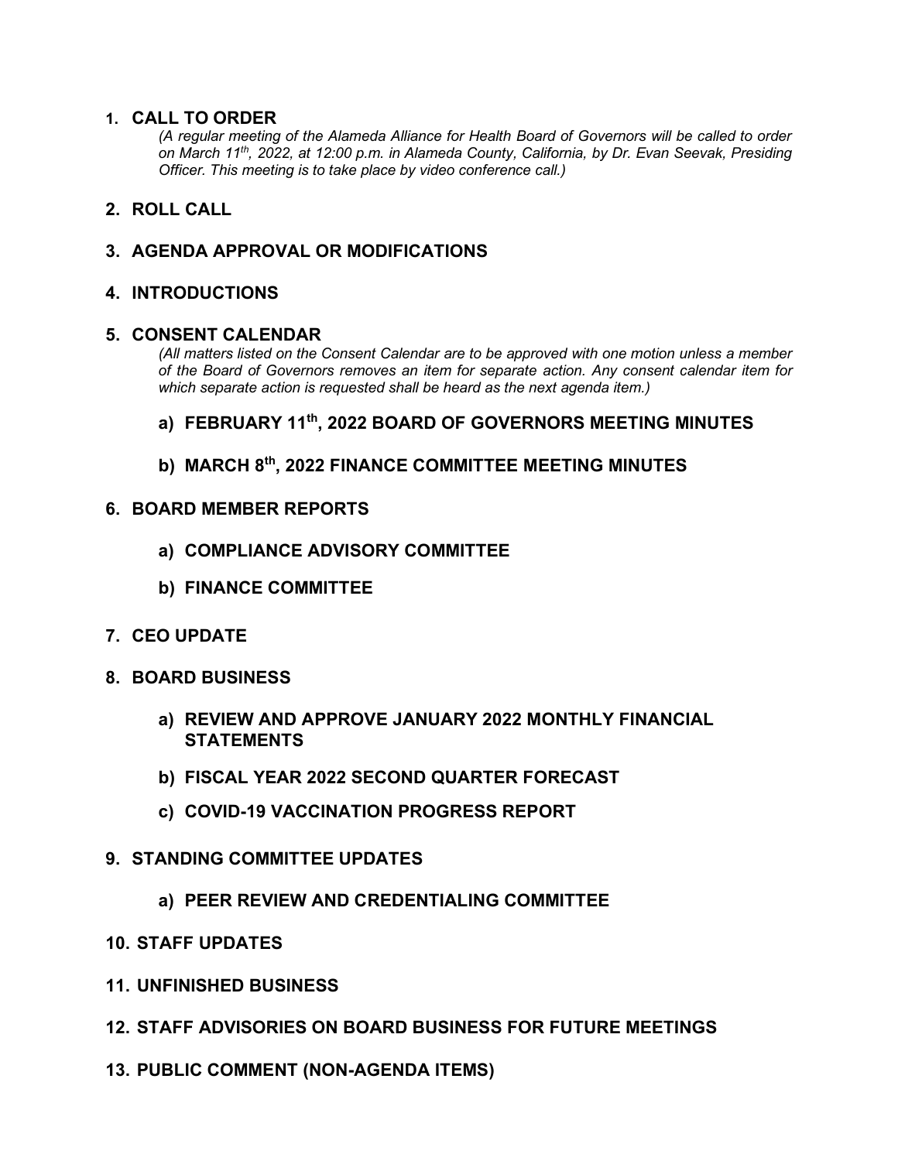### **1. CALL TO ORDER**

*(A regular meeting of the Alameda Alliance for Health Board of Governors will be called to order on March 11th, 2022, at 12:00 p.m. in Alameda County, California, by Dr. Evan Seevak, Presiding Officer. This meeting is to take place by video conference call.)*

## **2. ROLL CALL**

## **3. AGENDA APPROVAL OR MODIFICATIONS**

### **4. INTRODUCTIONS**

### **5. CONSENT CALENDAR**

*(All matters listed on the Consent Calendar are to be approved with one motion unless a member of the Board of Governors removes an item for separate action. Any consent calendar item for which separate action is requested shall be heard as the next agenda item.)*

## **a) FEBRUARY 11th, 2022 BOARD OF GOVERNORS MEETING MINUTES**

## **b) MARCH 8th, 2022 FINANCE COMMITTEE MEETING MINUTES**

### **6. BOARD MEMBER REPORTS**

- **a) COMPLIANCE ADVISORY COMMITTEE**
- **b) FINANCE COMMITTEE**
- **7. CEO UPDATE**
- **8. BOARD BUSINESS**
	- **a) REVIEW AND APPROVE JANUARY 2022 MONTHLY FINANCIAL STATEMENTS**
	- **b) FISCAL YEAR 2022 SECOND QUARTER FORECAST**
	- **c) COVID-19 VACCINATION PROGRESS REPORT**
- **9. STANDING COMMITTEE UPDATES**
	- **a) PEER REVIEW AND CREDENTIALING COMMITTEE**
- **10. STAFF UPDATES**
- **11. UNFINISHED BUSINESS**
- **12. STAFF ADVISORIES ON BOARD BUSINESS FOR FUTURE MEETINGS**
- **13. PUBLIC COMMENT (NON-AGENDA ITEMS)**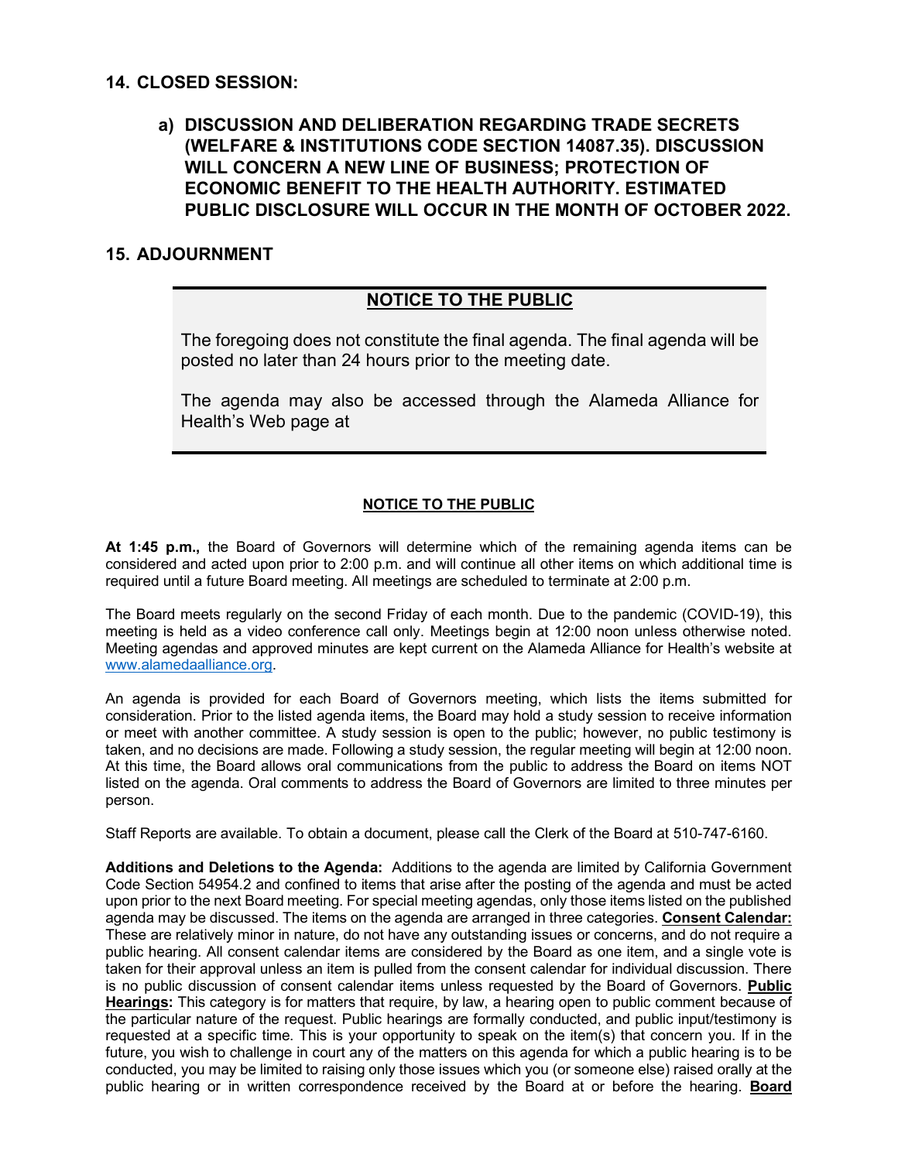### **14. CLOSED SESSION:**

## **a) DISCUSSION AND DELIBERATION REGARDING TRADE SECRETS (WELFARE & INSTITUTIONS CODE SECTION 14087.35). DISCUSSION WILL CONCERN A NEW LINE OF BUSINESS; PROTECTION OF ECONOMIC BENEFIT TO THE HEALTH AUTHORITY. ESTIMATED PUBLIC DISCLOSURE WILL OCCUR IN THE MONTH OF OCTOBER 2022.**

## **15. ADJOURNMENT**

## **NOTICE TO THE PUBLIC**

The foregoing does not constitute the final agenda. The final agenda will be posted no later than 24 hours prior to the meeting date.

The agenda may also be accessed through the Alameda Alliance for Health's Web page at

### **NOTICE TO THE PUBLIC**

**At 1:45 p.m.,** the Board of Governors will determine which of the remaining agenda items can be considered and acted upon prior to 2:00 p.m. and will continue all other items on which additional time is required until a future Board meeting. All meetings are scheduled to terminate at 2:00 p.m.

The Board meets regularly on the second Friday of each month. Due to the pandemic (COVID-19), this meeting is held as a video conference call only. Meetings begin at 12:00 noon unless otherwise noted. Meeting agendas and approved minutes are kept current on the Alameda Alliance for Health's website at [www.alamedaalliance.org.](http://www.alamedaalliance.org/)

An agenda is provided for each Board of Governors meeting, which lists the items submitted for consideration. Prior to the listed agenda items, the Board may hold a study session to receive information or meet with another committee. A study session is open to the public; however, no public testimony is taken, and no decisions are made. Following a study session, the regular meeting will begin at 12:00 noon. At this time, the Board allows oral communications from the public to address the Board on items NOT listed on the agenda. Oral comments to address the Board of Governors are limited to three minutes per person.

Staff Reports are available. To obtain a document, please call the Clerk of the Board at 510-747-6160.

**Additions and Deletions to the Agenda:** Additions to the agenda are limited by California Government Code Section 54954.2 and confined to items that arise after the posting of the agenda and must be acted upon prior to the next Board meeting. For special meeting agendas, only those items listed on the published agenda may be discussed. The items on the agenda are arranged in three categories. **Consent Calendar:** These are relatively minor in nature, do not have any outstanding issues or concerns, and do not require a public hearing. All consent calendar items are considered by the Board as one item, and a single vote is taken for their approval unless an item is pulled from the consent calendar for individual discussion. There is no public discussion of consent calendar items unless requested by the Board of Governors. **Public Hearings:** This category is for matters that require, by law, a hearing open to public comment because of the particular nature of the request. Public hearings are formally conducted, and public input/testimony is requested at a specific time. This is your opportunity to speak on the item(s) that concern you. If in the future, you wish to challenge in court any of the matters on this agenda for which a public hearing is to be conducted, you may be limited to raising only those issues which you (or someone else) raised orally at the public hearing or in written correspondence received by the Board at or before the hearing. **Board**